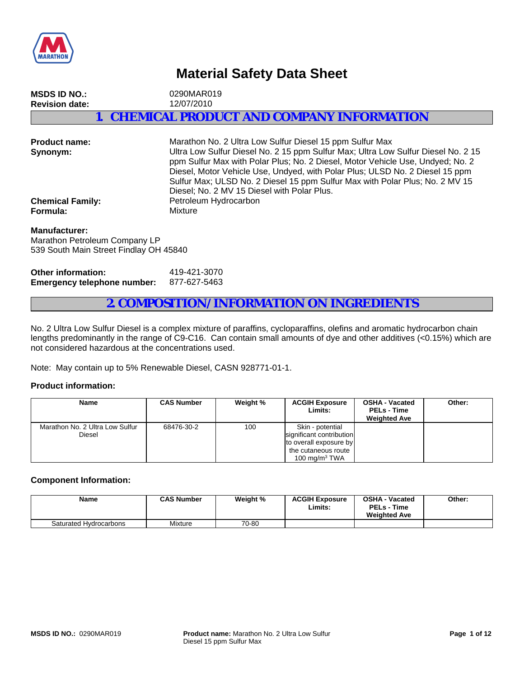

# **Material Safety Data Sheet**

| <b>MSDS ID NO.:</b><br><b>Revision date:</b> | 0290MAR019<br>12/07/2010                                                                                                                                                                                                                                                                                                                                                                        |
|----------------------------------------------|-------------------------------------------------------------------------------------------------------------------------------------------------------------------------------------------------------------------------------------------------------------------------------------------------------------------------------------------------------------------------------------------------|
|                                              | 1. CHEMICAL PRODUCT AND COMPANY INFORMATION                                                                                                                                                                                                                                                                                                                                                     |
| <b>Product name:</b><br>Synonym:             | Marathon No. 2 Ultra Low Sulfur Diesel 15 ppm Sulfur Max<br>Ultra Low Sulfur Diesel No. 2 15 ppm Sulfur Max; Ultra Low Sulfur Diesel No. 2 15<br>ppm Sulfur Max with Polar Plus; No. 2 Diesel, Motor Vehicle Use, Undyed; No. 2<br>Diesel, Motor Vehicle Use, Undyed, with Polar Plus; ULSD No. 2 Diesel 15 ppm<br>Sulfur Max; ULSD No. 2 Diesel 15 ppm Sulfur Max with Polar Plus; No. 2 MV 15 |

Diesel; No. 2 MV 15 Diesel with Polar Plus.

**Chemical Family:** Petroleum Hydrocarbon **Formula:** Mixture

#### **Manufacturer:**

Marathon Petroleum Company LP 539 South Main Street Findlay OH 45840

| Other information:                 | 419-421-3070 |
|------------------------------------|--------------|
| <b>Emergency telephone number:</b> | 877-627-5463 |

## **2. COMPOSITION/INFORMATION ON INGREDIENTS**

No. 2 Ultra Low Sulfur Diesel is a complex mixture of paraffins, cycloparaffins, olefins and aromatic hydrocarbon chain lengths predominantly in the range of C9-C16. Can contain small amounts of dye and other additives (<0.15%) which are not considered hazardous at the concentrations used.

Note: May contain up to 5% Renewable Diesel, CASN 928771-01-1.

#### **Product information:**

| Name                                      | <b>CAS Number</b> | Weight % | <b>ACGIH Exposure</b><br>Limits:                                                                                  | <b>OSHA - Vacated</b><br><b>PELs - Time</b><br><b>Weighted Ave</b> | Other: |
|-------------------------------------------|-------------------|----------|-------------------------------------------------------------------------------------------------------------------|--------------------------------------------------------------------|--------|
| Marathon No. 2 Ultra Low Sulfur<br>Diesel | 68476-30-2        | 100      | Skin - potential<br>significant contribution<br>to overall exposure by<br>the cutaneous route<br>100 mg/m $3$ TWA |                                                                    |        |

#### **Component Information:**

| Name                   | <b>CAS Number</b> | Weight % | <b>ACGIH Exposure</b><br>Limits: | <b>OSHA - Vacated</b><br><b>PELs - Time</b><br><b>Weighted Ave</b> | Other: |
|------------------------|-------------------|----------|----------------------------------|--------------------------------------------------------------------|--------|
| Saturated Hydrocarbons | Mixture           | 70-80    |                                  |                                                                    |        |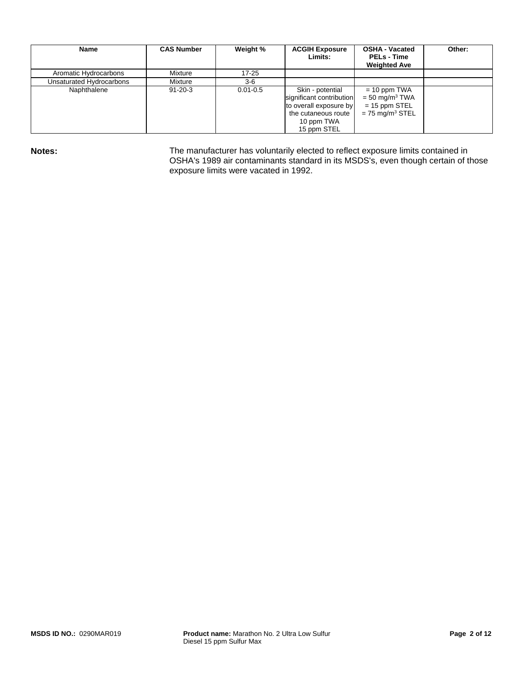| Name                     | <b>CAS Number</b> | Weight %     | <b>ACGIH Exposure</b><br>Limits:                                                                                           | <b>OSHA - Vacated</b><br><b>PELs - Time</b><br><b>Weighted Ave</b>                                 | Other: |
|--------------------------|-------------------|--------------|----------------------------------------------------------------------------------------------------------------------------|----------------------------------------------------------------------------------------------------|--------|
| Aromatic Hydrocarbons    | Mixture           | $17 - 25$    |                                                                                                                            |                                                                                                    |        |
| Unsaturated Hydrocarbons | Mixture           | $3-6$        |                                                                                                                            |                                                                                                    |        |
| Naphthalene              | $91 - 20 - 3$     | $0.01 - 0.5$ | Skin - potential<br>significant contribution<br>to overall exposure by<br>the cutaneous route<br>10 ppm TWA<br>15 ppm STEL | $= 10$ ppm TWA<br>$=$ 50 mg/m <sup>3</sup> TWA<br>$= 15$ ppm STEL<br>$= 75$ mg/m <sup>3</sup> STEL |        |

Notes: **Notes:** The manufacturer has voluntarily elected to reflect exposure limits contained in OSHA's 1989 air contaminants standard in its MSDS's, even though certain of those exposure limits were vacated in 1992.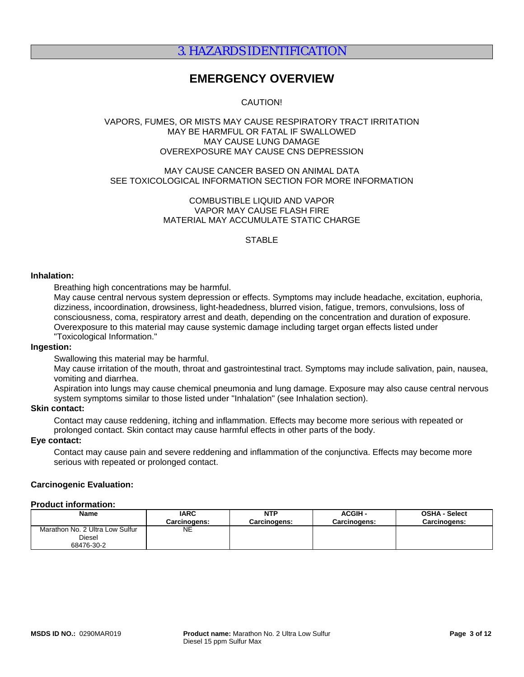# 3. HAZARDS IDENTIFICATION

# **EMERGENCY OVERVIEW**

### CAUTION!

#### VAPORS, FUMES, OR MISTS MAY CAUSE RESPIRATORY TRACT IRRITATION MAY BE HARMFUL OR FATAL IF SWALLOWED MAY CAUSE LUNG DAMAGE OVEREXPOSURE MAY CAUSE CNS DEPRESSION

#### MAY CAUSE CANCER BASED ON ANIMAL DATA SEE TOXICOLOGICAL INFORMATION SECTION FOR MORE INFORMATION

#### COMBUSTIBLE LIQUID AND VAPOR VAPOR MAY CAUSE FLASH FIRE MATERIAL MAY ACCUMULATE STATIC CHARGE

#### **STABLE**

#### **Inhalation:**

Breathing high concentrations may be harmful.

May cause central nervous system depression or effects. Symptoms may include headache, excitation, euphoria, dizziness, incoordination, drowsiness, light-headedness, blurred vision, fatigue, tremors, convulsions, loss of consciousness, coma, respiratory arrest and death, depending on the concentration and duration of exposure. Overexposure to this material may cause systemic damage including target organ effects listed under "Toxicological Information."

#### **Ingestion:**

Swallowing this material may be harmful.

May cause irritation of the mouth, throat and gastrointestinal tract. Symptoms may include salivation, pain, nausea, vomiting and diarrhea.

Aspiration into lungs may cause chemical pneumonia and lung damage. Exposure may also cause central nervous system symptoms similar to those listed under "Inhalation" (see Inhalation section).

#### **Skin contact:**

Contact may cause reddening, itching and inflammation. Effects may become more serious with repeated or prolonged contact. Skin contact may cause harmful effects in other parts of the body.

#### **Eye contact:**

Contact may cause pain and severe reddening and inflammation of the conjunctiva. Effects may become more serious with repeated or prolonged contact.

#### **Carcinogenic Evaluation:**

#### **Product information:**

| <b>Name</b>                     | <b>IARC</b>  | <b>NTP</b>          | <b>ACGIH -</b> | <b>OSHA - Select</b> |
|---------------------------------|--------------|---------------------|----------------|----------------------|
|                                 | Carcinoɑens: | <b>Carcinogens:</b> | Carcinogens:   | <b>Carcinogens:</b>  |
| Marathon No. 2 Ultra Low Sulfur | NE           |                     |                |                      |
| Diesel                          |              |                     |                |                      |
| 68476-30-2                      |              |                     |                |                      |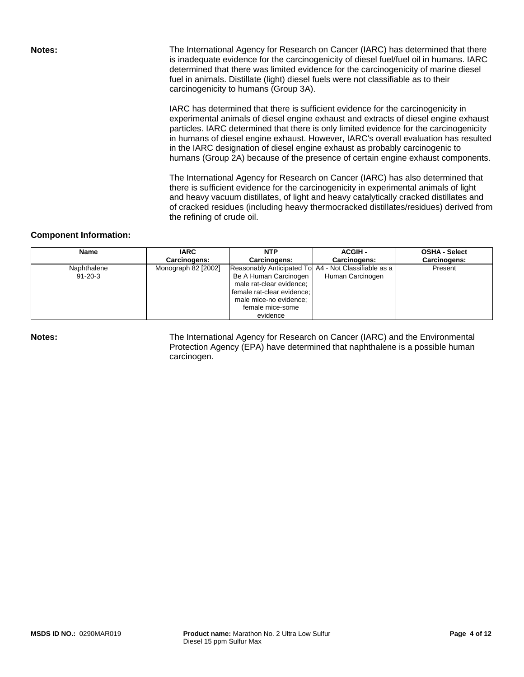**Notes: The International Agency for Research on Cancer (IARC) has determined that there** is inadequate evidence for the carcinogenicity of diesel fuel/fuel oil in humans. IARC determined that there was limited evidence for the carcinogenicity of marine diesel fuel in animals. Distillate (light) diesel fuels were not classifiable as to their carcinogenicity to humans (Group 3A).

> IARC has determined that there is sufficient evidence for the carcinogenicity in experimental animals of diesel engine exhaust and extracts of diesel engine exhaust particles. IARC determined that there is only limited evidence for the carcinogenicity in humans of diesel engine exhaust. However, IARC's overall evaluation has resulted in the IARC designation of diesel engine exhaust as probably carcinogenic to humans (Group 2A) because of the presence of certain engine exhaust components.

> The International Agency for Research on Cancer (IARC) has also determined that there is sufficient evidence for the carcinogenicity in experimental animals of light and heavy vacuum distillates, of light and heavy catalytically cracked distillates and of cracked residues (including heavy thermocracked distillates/residues) derived from the refining of crude oil.

#### **Component Information:**

| Name          | <b>IARC</b>         | NTP                                                  | <b>ACGIH-</b>    | <b>OSHA - Select</b> |
|---------------|---------------------|------------------------------------------------------|------------------|----------------------|
|               | Carcinogens:        | Carcinogens:                                         | Carcinogens:     | Carcinogens:         |
| Naphthalene   | Monograph 82 [2002] | Reasonably Anticipated To A4 - Not Classifiable as a |                  | Present              |
| $91 - 20 - 3$ |                     | Be A Human Carcinogen                                | Human Carcinogen |                      |
|               |                     | male rat-clear evidence;                             |                  |                      |
|               |                     | female rat-clear evidence;                           |                  |                      |
|               |                     | male mice-no evidence;                               |                  |                      |
|               |                     | female mice-some                                     |                  |                      |
|               |                     | evidence                                             |                  |                      |

**Notes:** The International Agency for Research on Cancer (IARC) and the Environmental Protection Agency (EPA) have determined that naphthalene is a possible human carcinogen.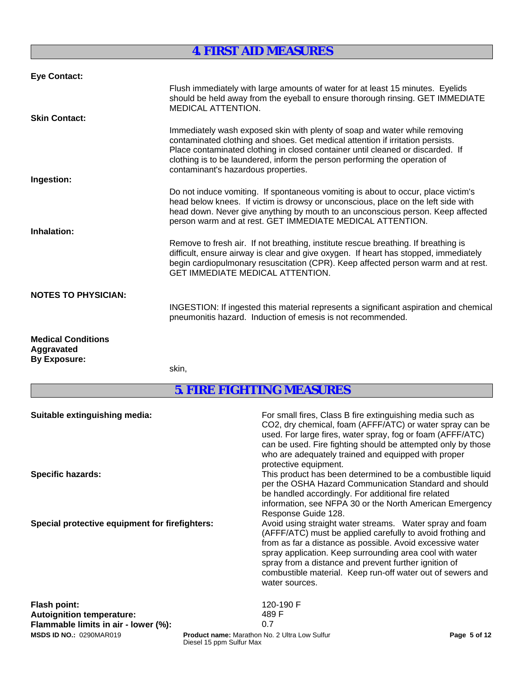# **4. FIRST AID MEASURES**

| <b>Eye Contact:</b>                                            |                                                                                                                                                                                                                                                                                                                                                                     |
|----------------------------------------------------------------|---------------------------------------------------------------------------------------------------------------------------------------------------------------------------------------------------------------------------------------------------------------------------------------------------------------------------------------------------------------------|
|                                                                | Flush immediately with large amounts of water for at least 15 minutes. Eyelids<br>should be held away from the eyeball to ensure thorough rinsing. GET IMMEDIATE<br><b>MEDICAL ATTENTION.</b>                                                                                                                                                                       |
| <b>Skin Contact:</b>                                           |                                                                                                                                                                                                                                                                                                                                                                     |
|                                                                | Immediately wash exposed skin with plenty of soap and water while removing<br>contaminated clothing and shoes. Get medical attention if irritation persists.<br>Place contaminated clothing in closed container until cleaned or discarded. If<br>clothing is to be laundered, inform the person performing the operation of<br>contaminant's hazardous properties. |
| Ingestion:                                                     |                                                                                                                                                                                                                                                                                                                                                                     |
| Inhalation:                                                    | Do not induce vomiting. If spontaneous vomiting is about to occur, place victim's<br>head below knees. If victim is drowsy or unconscious, place on the left side with<br>head down. Never give anything by mouth to an unconscious person. Keep affected<br>person warm and at rest. GET IMMEDIATE MEDICAL ATTENTION.                                              |
|                                                                | Remove to fresh air. If not breathing, institute rescue breathing. If breathing is<br>difficult, ensure airway is clear and give oxygen. If heart has stopped, immediately<br>begin cardiopulmonary resuscitation (CPR). Keep affected person warm and at rest.<br><b>GET IMMEDIATE MEDICAL ATTENTION.</b>                                                          |
| <b>NOTES TO PHYSICIAN:</b>                                     | INGESTION: If ingested this material represents a significant aspiration and chemical                                                                                                                                                                                                                                                                               |
|                                                                | pneumonitis hazard. Induction of emesis is not recommended.                                                                                                                                                                                                                                                                                                         |
| <b>Medical Conditions</b><br>Aggravated<br><b>By Exposure:</b> |                                                                                                                                                                                                                                                                                                                                                                     |

skin,

# **5. FIRE FIGHTING MEASURES**

| Suitable extinguishing media:<br><b>Specific hazards:</b>                                       | For small fires, Class B fire extinguishing media such as<br>CO2, dry chemical, foam (AFFF/ATC) or water spray can be<br>used. For large fires, water spray, fog or foam (AFFF/ATC)<br>can be used. Fire fighting should be attempted only by those<br>who are adequately trained and equipped with proper<br>protective equipment.<br>This product has been determined to be a combustible liquid<br>per the OSHA Hazard Communication Standard and should<br>be handled accordingly. For additional fire related<br>information, see NFPA 30 or the North American Emergency<br>Response Guide 128. |  |
|-------------------------------------------------------------------------------------------------|-------------------------------------------------------------------------------------------------------------------------------------------------------------------------------------------------------------------------------------------------------------------------------------------------------------------------------------------------------------------------------------------------------------------------------------------------------------------------------------------------------------------------------------------------------------------------------------------------------|--|
| Special protective equipment for firefighters:                                                  | Avoid using straight water streams. Water spray and foam<br>(AFFF/ATC) must be applied carefully to avoid frothing and<br>from as far a distance as possible. Avoid excessive water<br>spray application. Keep surrounding area cool with water<br>spray from a distance and prevent further ignition of<br>combustible material. Keep run-off water out of sewers and<br>water sources.                                                                                                                                                                                                              |  |
| <b>Flash point:</b><br><b>Autoignition temperature:</b><br>Flammable limits in air - lower (%): | 120-190 F<br>489 F<br>0.7                                                                                                                                                                                                                                                                                                                                                                                                                                                                                                                                                                             |  |
| <b>MSDS ID NO.: 0290MAR019</b>                                                                  | Product name: Marathon No. 2 Ultra Low Sulfur<br>Page 5 of 12                                                                                                                                                                                                                                                                                                                                                                                                                                                                                                                                         |  |

Diesel 15 ppm Sulfur Max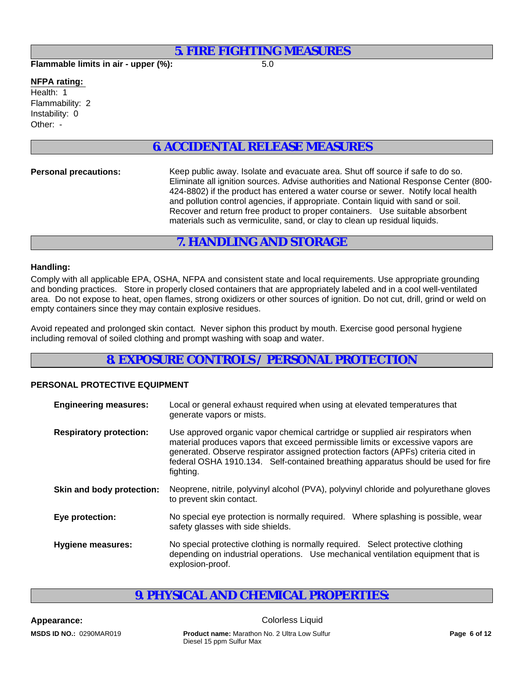## **5. FIRE FIGHTING MEASURES**

**Flammable limits in air - upper (%):** 5.0

#### **NFPA rating:**

Instability: 0 Other: - Flammability: 2 Health: 1

# **6. ACCIDENTAL RELEASE MEASURES**

**Personal precautions:** Keep public away. Isolate and evacuate area. Shut off source if safe to do so. Eliminate all ignition sources. Advise authorities and National Response Center (800- 424-8802) if the product has entered a water course or sewer. Notify local health and pollution control agencies, if appropriate. Contain liquid with sand or soil. Recover and return free product to proper containers. Use suitable absorbent materials such as vermiculite, sand, or clay to clean up residual liquids.

# **7. HANDLING AND STORAGE**

### **Handling:**

Comply with all applicable EPA, OSHA, NFPA and consistent state and local requirements. Use appropriate grounding and bonding practices. Store in properly closed containers that are appropriately labeled and in a cool well-ventilated area. Do not expose to heat, open flames, strong oxidizers or other sources of ignition. Do not cut, drill, grind or weld on empty containers since they may contain explosive residues.

Avoid repeated and prolonged skin contact. Never siphon this product by mouth. Exercise good personal hygiene including removal of soiled clothing and prompt washing with soap and water.

# **8. EXPOSURE CONTROLS / PERSONAL PROTECTION**

#### **PERSONAL PROTECTIVE EQUIPMENT**

| <b>Engineering measures:</b>   | Local or general exhaust required when using at elevated temperatures that<br>generate vapors or mists.                                                                                                                                                                                                                                                   |
|--------------------------------|-----------------------------------------------------------------------------------------------------------------------------------------------------------------------------------------------------------------------------------------------------------------------------------------------------------------------------------------------------------|
| <b>Respiratory protection:</b> | Use approved organic vapor chemical cartridge or supplied air respirators when<br>material produces vapors that exceed permissible limits or excessive vapors are<br>generated. Observe respirator assigned protection factors (APFs) criteria cited in<br>federal OSHA 1910.134. Self-contained breathing apparatus should be used for fire<br>fighting. |
| Skin and body protection:      | Neoprene, nitrile, polyvinyl alcohol (PVA), polyvinyl chloride and polyurethane gloves<br>to prevent skin contact.                                                                                                                                                                                                                                        |
| Eye protection:                | No special eye protection is normally required. Where splashing is possible, wear<br>safety glasses with side shields.                                                                                                                                                                                                                                    |
| <b>Hygiene measures:</b>       | No special protective clothing is normally required. Select protective clothing<br>depending on industrial operations. Use mechanical ventilation equipment that is<br>explosion-proof.                                                                                                                                                                   |

# **9. PHYSICAL AND CHEMICAL PROPERTIES:**

**Appearance:** Colorless Liquid **MSDS ID NO.:** 0290MAR019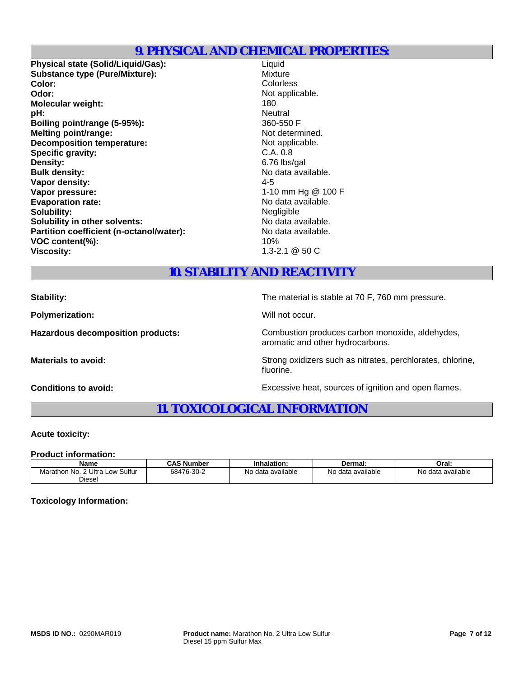# **9. PHYSICAL AND CHEMICAL PROPERTIES:**

**Physical state (Solid/Liquid/Gas):** Liquid **Substance type (Pure/Mixture):** Mixture **Color:** Colorless **Odor:** Not applicable. **Molecular weight:** 180 **pH:** Neutral **Boiling point/range (5-95%):** 360-550 F **Melting point/range:** Not determined. **Decomposition temperature:** Not applicable.<br> **Specific gravity:** C.A. 0.8 **Specific gravity: Density:** 6.76 lbs/gal **Bulk density:** No data available. **Vapor density:** 4-5 **Vapor pressure:**  $\blacksquare$  1-10 mm Hg @ 100 F<br>**Evaporation rate:**  $\blacksquare$  1-10 mm Hg @ 100 F **Evaporation rate:** No data available to the Modata available.<br> **Solubility:** Negligible. **Solubility:**<br> **Solubility in other solvents:**<br> **Solubility in other solvents:**<br> **Solubility in other solvents: Solubility in other solvents:** No data available.<br> **Partition coefficient (n-octanol/water):** No data available. **Partition coefficient (n-octanol/water): VOC content(%):** 10% **Viscosity:** 1.3-2.1 @ 50 C

# **10. STABILITY AND REACTIVITY**

**Polymerization:** Will not occur.

**Stability:** The material is stable at 70 F, 760 mm pressure.

fluorine.

**Hazardous decomposition products:** Combustion produces carbon monoxide, aldehydes, aromatic and other hydrocarbons.

**Materials to avoid:** Strong oxidizers such as nitrates, perchlorates, chlorine,

**Conditions to avoid:** Excessive heat, sources of ignition and open flames.

# **11. TOXICOLOGICAL INFORMATION**

#### **Acute toxicity:**

#### **Product information:**

| <b>Name</b>                               | <b>CAS Number</b> | Inhalation:       | Dermal:                | Oral:             |
|-------------------------------------------|-------------------|-------------------|------------------------|-------------------|
| . Low Sulfur<br>2 Ultra<br>Marathon No. 2 | 68476-30-2        | No data available | No data<br>ı avaılable | No data available |
| Diesel                                    |                   |                   |                        |                   |

#### **Toxicology Information:**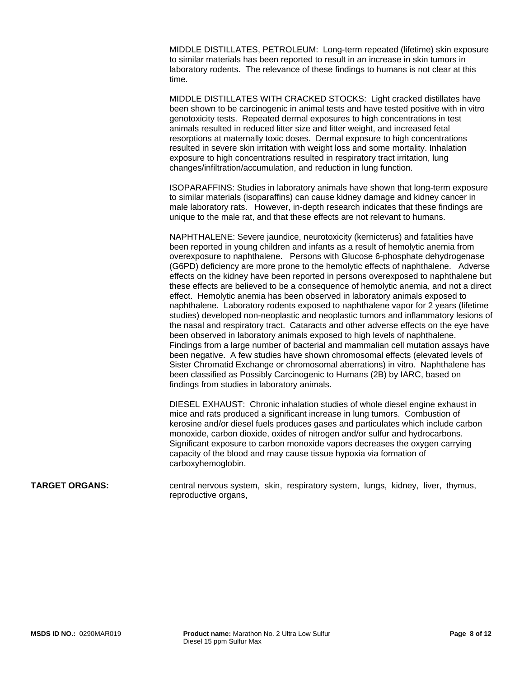MIDDLE DISTILLATES, PETROLEUM: Long-term repeated (lifetime) skin exposure to similar materials has been reported to result in an increase in skin tumors in laboratory rodents. The relevance of these findings to humans is not clear at this time.

MIDDLE DISTILLATES WITH CRACKED STOCKS: Light cracked distillates have been shown to be carcinogenic in animal tests and have tested positive with in vitro genotoxicity tests. Repeated dermal exposures to high concentrations in test animals resulted in reduced litter size and litter weight, and increased fetal resorptions at maternally toxic doses. Dermal exposure to high concentrations resulted in severe skin irritation with weight loss and some mortality. Inhalation exposure to high concentrations resulted in respiratory tract irritation, lung changes/infiltration/accumulation, and reduction in lung function.

ISOPARAFFINS: Studies in laboratory animals have shown that long-term exposure to similar materials (isoparaffins) can cause kidney damage and kidney cancer in male laboratory rats. However, in-depth research indicates that these findings are unique to the male rat, and that these effects are not relevant to humans.

NAPHTHALENE: Severe jaundice, neurotoxicity (kernicterus) and fatalities have been reported in young children and infants as a result of hemolytic anemia from overexposure to naphthalene. Persons with Glucose 6-phosphate dehydrogenase (G6PD) deficiency are more prone to the hemolytic effects of naphthalene. Adverse effects on the kidney have been reported in persons overexposed to naphthalene but these effects are believed to be a consequence of hemolytic anemia, and not a direct effect. Hemolytic anemia has been observed in laboratory animals exposed to naphthalene. Laboratory rodents exposed to naphthalene vapor for 2 years (lifetime studies) developed non-neoplastic and neoplastic tumors and inflammatory lesions of the nasal and respiratory tract. Cataracts and other adverse effects on the eye have been observed in laboratory animals exposed to high levels of naphthalene. Findings from a large number of bacterial and mammalian cell mutation assays have been negative. A few studies have shown chromosomal effects (elevated levels of Sister Chromatid Exchange or chromosomal aberrations) in vitro. Naphthalene has been classified as Possibly Carcinogenic to Humans (2B) by IARC, based on findings from studies in laboratory animals.

DIESEL EXHAUST: Chronic inhalation studies of whole diesel engine exhaust in mice and rats produced a significant increase in lung tumors. Combustion of kerosine and/or diesel fuels produces gases and particulates which include carbon monoxide, carbon dioxide, oxides of nitrogen and/or sulfur and hydrocarbons. Significant exposure to carbon monoxide vapors decreases the oxygen carrying capacity of the blood and may cause tissue hypoxia via formation of carboxyhemoglobin.

**TARGET ORGANS:** central nervous system, skin, respiratory system, lungs, kidney, liver, thymus, reproductive organs,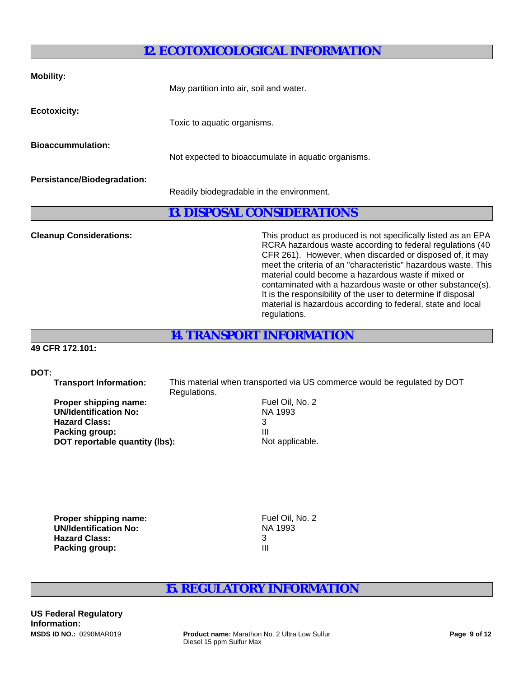# **12. ECOTOXICOLOGICAL INFORMATION**

| <b>Mobility:</b>                   | May partition into air, soil and water.             |
|------------------------------------|-----------------------------------------------------|
| <b>Ecotoxicity:</b>                | Toxic to aquatic organisms.                         |
| <b>Bioaccummulation:</b>           | Not expected to bioaccumulate in aquatic organisms. |
| <b>Persistance/Biodegradation:</b> | Readily biodegradable in the environment.           |

**13. DISPOSAL CONSIDERATIONS**

**Cleanup Considerations:** This product as produced is not specifically listed as an EPA RCRA hazardous waste according to federal regulations (40 CFR 261). However, when discarded or disposed of, it may meet the criteria of an "characteristic" hazardous waste. This material could become a hazardous waste if mixed or contaminated with a hazardous waste or other substance(s). It is the responsibility of the user to determine if disposal material is hazardous according to federal, state and local regulations.

**14. TRANSPORT INFORMATION**

### **49 CFR 172.101:**

### **DOT:**

 **Transport Information:** This material when transported via US commerce would be regulated by DOT Regulations.

| Fι |
|----|
| N. |
|    |
| Ш  |
| N  |
|    |

**Fuel Oil, No. 2 NA 1993** Not applicable.

| Proper shipping name:        | Fuel Oil, No. 2 |
|------------------------------|-----------------|
| <b>UN/Identification No:</b> | NA 1993         |
| <b>Hazard Class:</b>         |                 |
| Packing group:               | Ш               |

# **15. REGULATORY INFORMATION**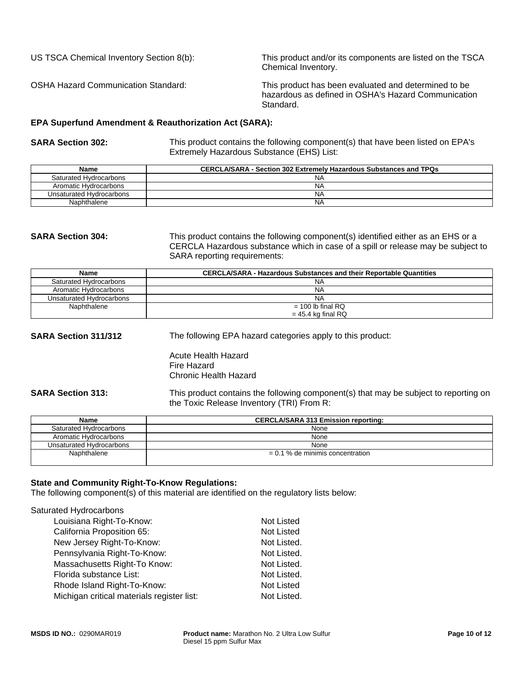US TSCA Chemical Inventory Section 8(b): This product and/or its components are listed on the TSCA Chemical Inventory.

OSHA Hazard Communication Standard: This product has been evaluated and determined to be hazardous as defined in OSHA's Hazard Communication Standard.

#### **EPA Superfund Amendment & Reauthorization Act (SARA):**

**SARA Section 302:** This product contains the following component(s) that have been listed on EPA's Extremely Hazardous Substance (EHS) List:

| <b>Name</b>              | <b>CERCLA/SARA - Section 302 Extremely Hazardous Substances and TPQs</b> |
|--------------------------|--------------------------------------------------------------------------|
| Saturated Hydrocarbons   | NA                                                                       |
| Aromatic Hydrocarbons    | <b>NA</b>                                                                |
| Unsaturated Hydrocarbons | N <sub>A</sub>                                                           |
| Naphthalene              | N <sub>A</sub>                                                           |

**SARA Section 304:** This product contains the following component(s) identified either as an EHS or a CERCLA Hazardous substance which in case of a spill or release may be subject to SARA reporting requirements:

| <b>Name</b>              | <b>CERCLA/SARA - Hazardous Substances and their Reportable Quantities</b> |
|--------------------------|---------------------------------------------------------------------------|
| Saturated Hydrocarbons   | <b>NA</b>                                                                 |
| Aromatic Hydrocarbons    | <b>NA</b>                                                                 |
| Unsaturated Hydrocarbons | <b>NA</b>                                                                 |
| Naphthalene              | $= 100$ lb final RQ                                                       |
|                          | $= 45.4$ kg final RQ                                                      |

**SARA Section 311/312** The following EPA hazard categories apply to this product:

Acute Health Hazard Fire Hazard Chronic Health Hazard

**SARA Section 313:** This product contains the following component(s) that may be subject to reporting on the Toxic Release Inventory (TRI) From R:

| <b>Name</b>              | <b>CERCLA/SARA 313 Emission reporting:</b> |  |
|--------------------------|--------------------------------------------|--|
| Saturated Hydrocarbons   | None                                       |  |
| Aromatic Hydrocarbons    | None                                       |  |
| Unsaturated Hydrocarbons | None                                       |  |
| Naphthalene              | $= 0.1$ % de minimis concentration         |  |

#### **State and Community Right-To-Know Regulations:**

The following component(s) of this material are identified on the regulatory lists below:

| Saturated Hydrocarbons                     |                   |
|--------------------------------------------|-------------------|
| Louisiana Right-To-Know:                   | Not Listed        |
| California Proposition 65:                 | <b>Not Listed</b> |
| New Jersey Right-To-Know:                  | Not Listed.       |
| Pennsylvania Right-To-Know:                | Not Listed.       |
| Massachusetts Right-To Know:               | Not Listed.       |
| Florida substance List:                    | Not Listed.       |
| Rhode Island Right-To-Know:                | <b>Not Listed</b> |
| Michigan critical materials register list: | Not Listed.       |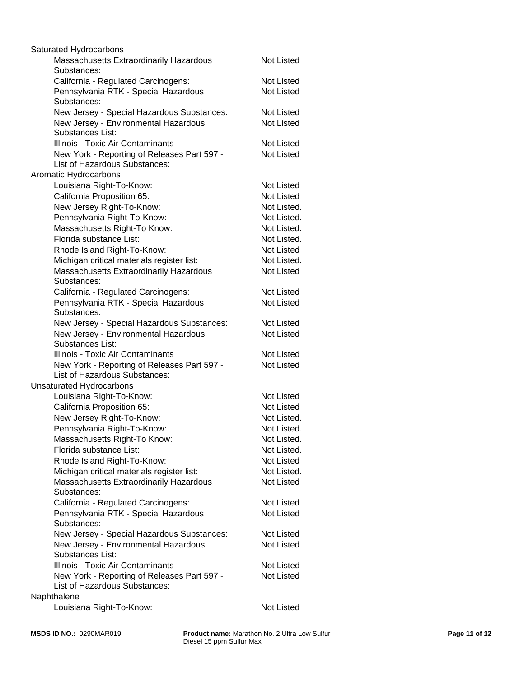| Saturated Hydrocarbons                                                       |                   |
|------------------------------------------------------------------------------|-------------------|
| Massachusetts Extraordinarily Hazardous<br>Substances:                       | <b>Not Listed</b> |
| California - Regulated Carcinogens:                                          | <b>Not Listed</b> |
| Pennsylvania RTK - Special Hazardous<br>Substances:                          | <b>Not Listed</b> |
| New Jersey - Special Hazardous Substances:                                   | <b>Not Listed</b> |
| New Jersey - Environmental Hazardous<br>Substances List:                     | <b>Not Listed</b> |
| Illinois - Toxic Air Contaminants                                            | Not Listed        |
| New York - Reporting of Releases Part 597 -<br>List of Hazardous Substances: | <b>Not Listed</b> |
| Aromatic Hydrocarbons                                                        |                   |
| Louisiana Right-To-Know:                                                     | Not Listed        |
| California Proposition 65:                                                   | <b>Not Listed</b> |
| New Jersey Right-To-Know:                                                    | Not Listed.       |
| Pennsylvania Right-To-Know:                                                  | Not Listed.       |
| Massachusetts Right-To Know:                                                 | Not Listed.       |
| Florida substance List:                                                      | Not Listed.       |
| Rhode Island Right-To-Know:                                                  | Not Listed        |
| Michigan critical materials register list:                                   | Not Listed.       |
| Massachusetts Extraordinarily Hazardous<br>Substances:                       | <b>Not Listed</b> |
| California - Regulated Carcinogens:                                          | Not Listed        |
| Pennsylvania RTK - Special Hazardous<br>Substances:                          | <b>Not Listed</b> |
| New Jersey - Special Hazardous Substances:                                   | <b>Not Listed</b> |
| New Jersey - Environmental Hazardous<br>Substances List:                     | <b>Not Listed</b> |
| Illinois - Toxic Air Contaminants                                            | Not Listed        |
| New York - Reporting of Releases Part 597 -<br>List of Hazardous Substances: | <b>Not Listed</b> |
| <b>Unsaturated Hydrocarbons</b>                                              |                   |
| Louisiana Right-To-Know:                                                     | <b>Not Listed</b> |
| California Proposition 65:                                                   | Not Listed        |
| New Jersey Right-To-Know:                                                    | Not Listed.       |
| Pennsylvania Right-To-Know:                                                  | Not Listed.       |
| Massachusetts Right-To Know:                                                 | Not Listed.       |
| Florida substance List:                                                      | Not Listed.       |
| Rhode Island Right-To-Know:                                                  | Not Listed        |
| Michigan critical materials register list:                                   | Not Listed.       |
| Massachusetts Extraordinarily Hazardous<br>Substances:                       | Not Listed        |
| California - Regulated Carcinogens:                                          | Not Listed        |
| Pennsylvania RTK - Special Hazardous<br>Substances:                          | <b>Not Listed</b> |
| New Jersey - Special Hazardous Substances:                                   | Not Listed        |
| New Jersey - Environmental Hazardous<br>Substances List:                     | <b>Not Listed</b> |
| Illinois - Toxic Air Contaminants                                            | Not Listed        |
| New York - Reporting of Releases Part 597 -<br>List of Hazardous Substances: | <b>Not Listed</b> |
| Naphthalene                                                                  |                   |
| Louisiana Right-To-Know:                                                     | Not Listed        |